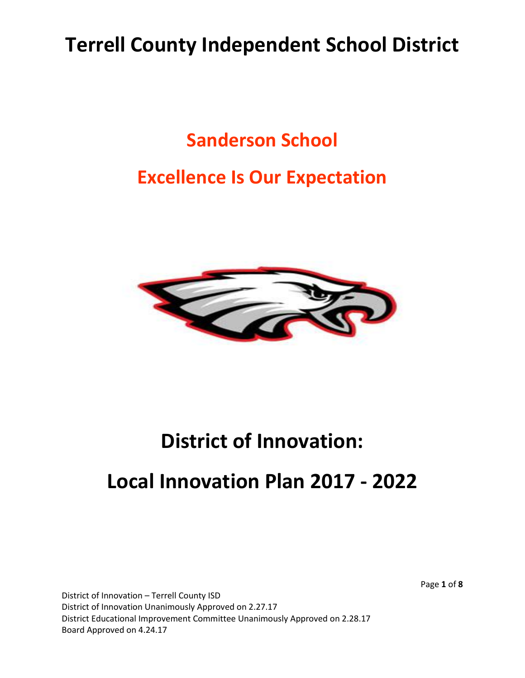### **Terrell County Independent School District**

### **Sanderson School**

### **Excellence Is Our Expectation**



# **District of Innovation:**

### **Local Innovation Plan 2017 - 2022**

District of Innovation – Terrell County ISD District of Innovation Unanimously Approved on 2.27.17 District Educational Improvement Committee Unanimously Approved on 2.28.17 Board Approved on 4.24.17

Page **1** of **8**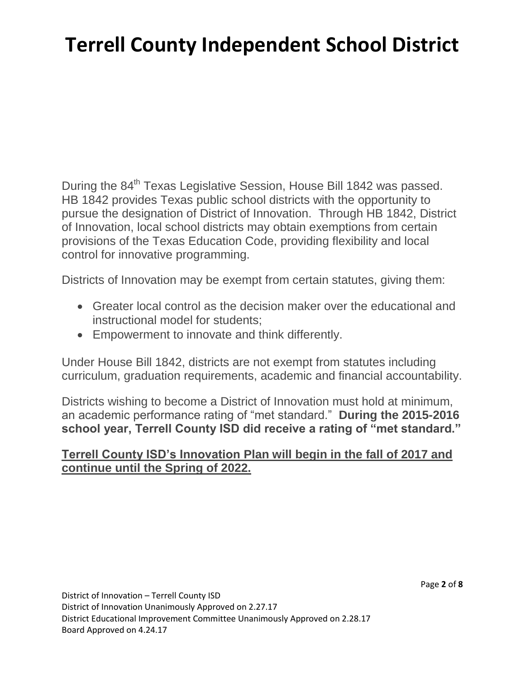# **Terrell County Independent School District**

During the 84<sup>th</sup> Texas Legislative Session, House Bill 1842 was passed. HB 1842 provides Texas public school districts with the opportunity to pursue the designation of District of Innovation. Through HB 1842, District of Innovation, local school districts may obtain exemptions from certain provisions of the Texas Education Code, providing flexibility and local control for innovative programming.

Districts of Innovation may be exempt from certain statutes, giving them:

- Greater local control as the decision maker over the educational and instructional model for students;
- Empowerment to innovate and think differently.

Under House Bill 1842, districts are not exempt from statutes including curriculum, graduation requirements, academic and financial accountability.

Districts wishing to become a District of Innovation must hold at minimum, an academic performance rating of "met standard." **During the 2015-2016 school year, Terrell County ISD did receive a rating of "met standard."**

#### **Terrell County ISD's Innovation Plan will begin in the fall of 2017 and continue until the Spring of 2022.**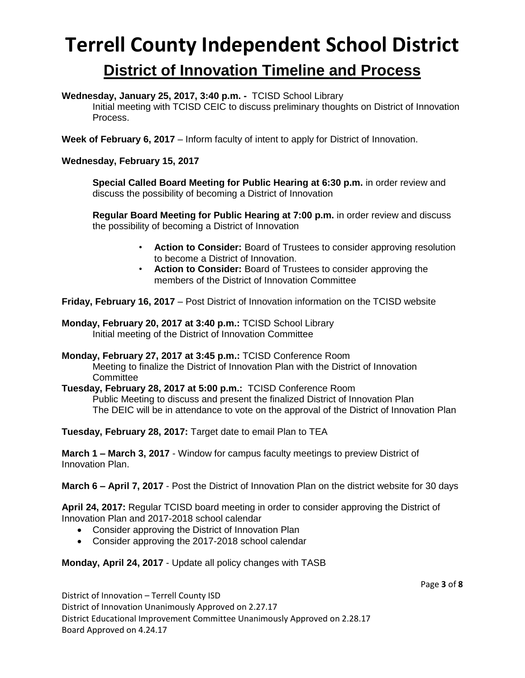### **Terrell County Independent School District District of Innovation Timeline and Process**

**Wednesday, January 25, 2017, 3:40 p.m. -** TCISD School Library

Initial meeting with TCISD CEIC to discuss preliminary thoughts on District of Innovation Process.

**Week of February 6, 2017** – Inform faculty of intent to apply for District of Innovation.

**Wednesday, February 15, 2017**

**Special Called Board Meeting for Public Hearing at 6:30 p.m.** in order review and discuss the possibility of becoming a District of Innovation

**Regular Board Meeting for Public Hearing at 7:00 p.m.** in order review and discuss the possibility of becoming a District of Innovation

- **Action to Consider:** Board of Trustees to consider approving resolution to become a District of Innovation.
- **Action to Consider:** Board of Trustees to consider approving the members of the District of Innovation Committee

**Friday, February 16, 2017** – Post District of Innovation information on the TCISD website

**Monday, February 20, 2017 at 3:40 p.m.:** TCISD School Library Initial meeting of the District of Innovation Committee

**Monday, February 27, 2017 at 3:45 p.m.:** TCISD Conference Room Meeting to finalize the District of Innovation Plan with the District of Innovation **Committee** 

**Tuesday, February 28, 2017 at 5:00 p.m.:** TCISD Conference Room Public Meeting to discuss and present the finalized District of Innovation Plan The DEIC will be in attendance to vote on the approval of the District of Innovation Plan

**Tuesday, February 28, 2017:** Target date to email Plan to TEA

**March 1 – March 3, 2017** - Window for campus faculty meetings to preview District of Innovation Plan.

**March 6 – April 7, 2017** - Post the District of Innovation Plan on the district website for 30 days

**April 24, 2017:** Regular TCISD board meeting in order to consider approving the District of Innovation Plan and 2017-2018 school calendar

- Consider approving the District of Innovation Plan
- Consider approving the 2017-2018 school calendar

**Monday, April 24, 2017** - Update all policy changes with TASB

Page **3** of **8**

District of Innovation – Terrell County ISD District of Innovation Unanimously Approved on 2.27.17 District Educational Improvement Committee Unanimously Approved on 2.28.17 Board Approved on 4.24.17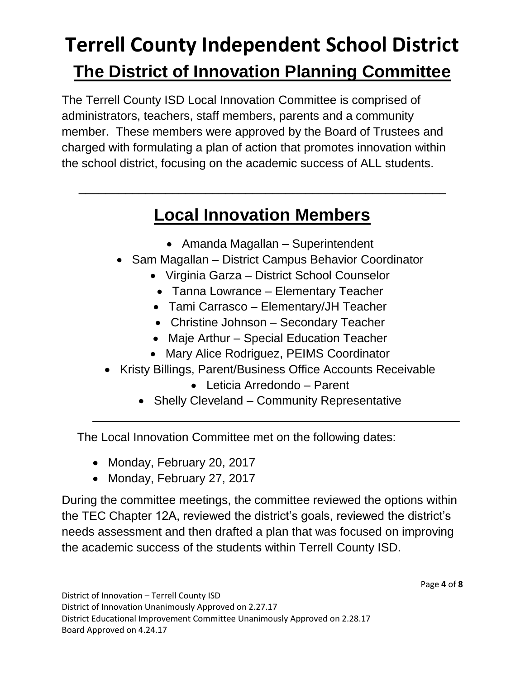# **Terrell County Independent School District The District of Innovation Planning Committee**

The Terrell County ISD Local Innovation Committee is comprised of administrators, teachers, staff members, parents and a community member. These members were approved by the Board of Trustees and charged with formulating a plan of action that promotes innovation within the school district, focusing on the academic success of ALL students.

### **Local Innovation Members**

\_\_\_\_\_\_\_\_\_\_\_\_\_\_\_\_\_\_\_\_\_\_\_\_\_\_\_\_\_\_\_\_\_\_\_\_\_\_\_\_\_\_\_\_\_\_\_\_\_\_\_\_\_\_\_

- Amanda Magallan Superintendent
- Sam Magallan District Campus Behavior Coordinator
	- Virginia Garza District School Counselor
	- Tanna Lowrance Elementary Teacher
	- Tami Carrasco Elementary/JH Teacher
	- Christine Johnson Secondary Teacher
	- Maje Arthur Special Education Teacher
	- Mary Alice Rodriguez, PEIMS Coordinator
- Kristy Billings, Parent/Business Office Accounts Receivable
	- Leticia Arredondo Parent
	- Shelly Cleveland Community Representative

\_\_\_\_\_\_\_\_\_\_\_\_\_\_\_\_\_\_\_\_\_\_\_\_\_\_\_\_\_\_\_\_\_\_\_\_\_\_\_\_\_\_\_\_\_\_\_\_\_\_\_\_\_\_\_

The Local Innovation Committee met on the following dates:

- Monday, February 20, 2017
- Monday, February 27, 2017

During the committee meetings, the committee reviewed the options within the TEC Chapter 12A, reviewed the district's goals, reviewed the district's needs assessment and then drafted a plan that was focused on improving the academic success of the students within Terrell County ISD.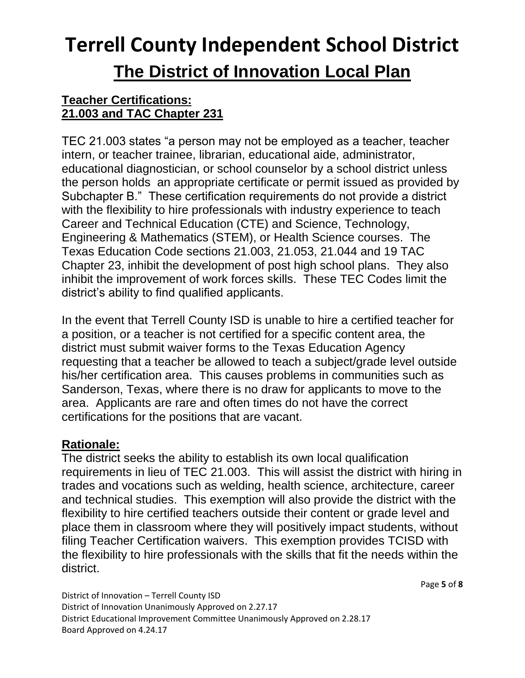# **Terrell County Independent School District The District of Innovation Local Plan**

#### **Teacher Certifications: 21.003 and TAC Chapter 231**

TEC 21.003 states "a person may not be employed as a teacher, teacher intern, or teacher trainee, librarian, educational aide, administrator, educational diagnostician, or school counselor by a school district unless the person holds an appropriate certificate or permit issued as provided by Subchapter B." These certification requirements do not provide a district with the flexibility to hire professionals with industry experience to teach Career and Technical Education (CTE) and Science, Technology, Engineering & Mathematics (STEM), or Health Science courses. The Texas Education Code sections 21.003, 21.053, 21.044 and 19 TAC Chapter 23, inhibit the development of post high school plans. They also inhibit the improvement of work forces skills. These TEC Codes limit the district's ability to find qualified applicants.

In the event that Terrell County ISD is unable to hire a certified teacher for a position, or a teacher is not certified for a specific content area, the district must submit waiver forms to the Texas Education Agency requesting that a teacher be allowed to teach a subject/grade level outside his/her certification area. This causes problems in communities such as Sanderson, Texas, where there is no draw for applicants to move to the area. Applicants are rare and often times do not have the correct certifications for the positions that are vacant.

#### **Rationale:**

The district seeks the ability to establish its own local qualification requirements in lieu of TEC 21.003. This will assist the district with hiring in trades and vocations such as welding, health science, architecture, career and technical studies. This exemption will also provide the district with the flexibility to hire certified teachers outside their content or grade level and place them in classroom where they will positively impact students, without filing Teacher Certification waivers. This exemption provides TCISD with the flexibility to hire professionals with the skills that fit the needs within the district.

Page **5** of **8**

District of Innovation – Terrell County ISD District of Innovation Unanimously Approved on 2.27.17 District Educational Improvement Committee Unanimously Approved on 2.28.17 Board Approved on 4.24.17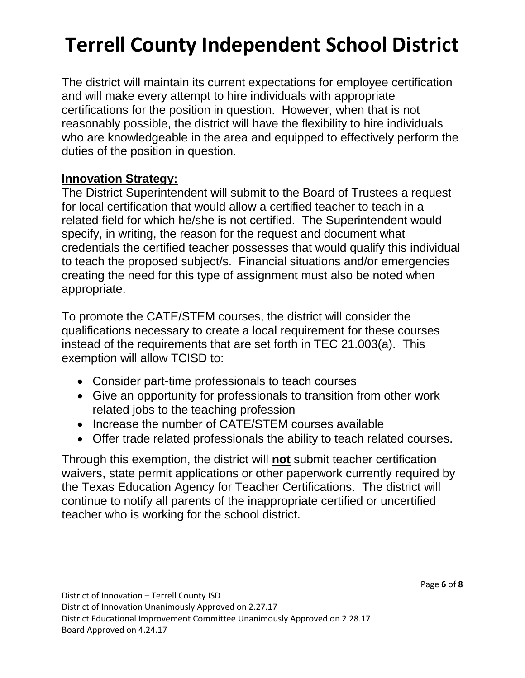# **Terrell County Independent School District**

The district will maintain its current expectations for employee certification and will make every attempt to hire individuals with appropriate certifications for the position in question. However, when that is not reasonably possible, the district will have the flexibility to hire individuals who are knowledgeable in the area and equipped to effectively perform the duties of the position in question.

#### **Innovation Strategy:**

The District Superintendent will submit to the Board of Trustees a request for local certification that would allow a certified teacher to teach in a related field for which he/she is not certified. The Superintendent would specify, in writing, the reason for the request and document what credentials the certified teacher possesses that would qualify this individual to teach the proposed subject/s. Financial situations and/or emergencies creating the need for this type of assignment must also be noted when appropriate.

To promote the CATE/STEM courses, the district will consider the qualifications necessary to create a local requirement for these courses instead of the requirements that are set forth in TEC 21.003(a). This exemption will allow TCISD to:

- Consider part-time professionals to teach courses
- Give an opportunity for professionals to transition from other work related jobs to the teaching profession
- Increase the number of CATE/STEM courses available
- Offer trade related professionals the ability to teach related courses.

Through this exemption, the district will **not** submit teacher certification waivers, state permit applications or other paperwork currently required by the Texas Education Agency for Teacher Certifications. The district will continue to notify all parents of the inappropriate certified or uncertified teacher who is working for the school district.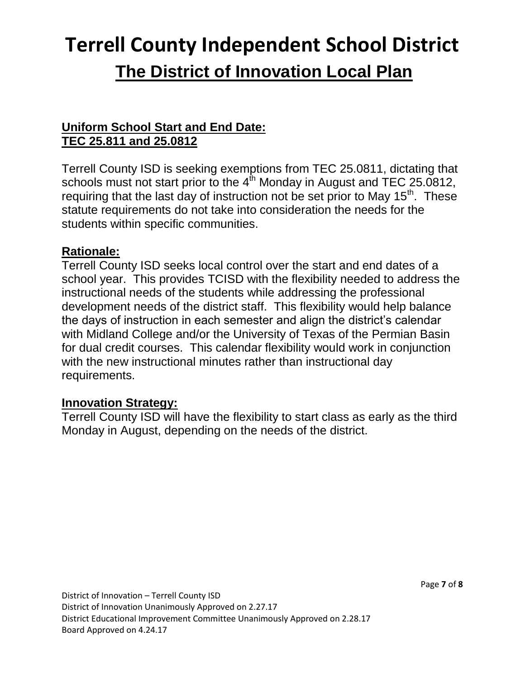# **Terrell County Independent School District The District of Innovation Local Plan**

#### **Uniform School Start and End Date: TEC 25.811 and 25.0812**

Terrell County ISD is seeking exemptions from TEC 25.0811, dictating that schools must not start prior to the  $4^{\text{th}}$  Monday in August and TEC 25.0812, requiring that the last day of instruction not be set prior to May  $15<sup>th</sup>$ . These statute requirements do not take into consideration the needs for the students within specific communities.

#### **Rationale:**

Terrell County ISD seeks local control over the start and end dates of a school year. This provides TCISD with the flexibility needed to address the instructional needs of the students while addressing the professional development needs of the district staff. This flexibility would help balance the days of instruction in each semester and align the district's calendar with Midland College and/or the University of Texas of the Permian Basin for dual credit courses. This calendar flexibility would work in conjunction with the new instructional minutes rather than instructional day requirements.

#### **Innovation Strategy:**

Terrell County ISD will have the flexibility to start class as early as the third Monday in August, depending on the needs of the district.